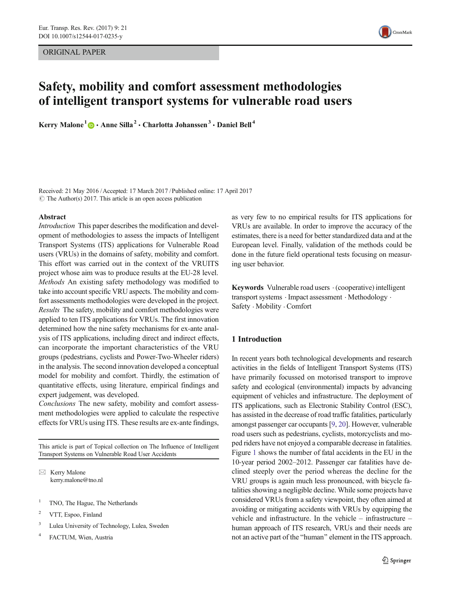# ORIGINAL PAPER



# Safety, mobility and comfort assessment methodologies of intelligent transport systems for vulnerable road users

Kerry Malone<sup>1</sup>  $\rightarrow$  Anne Silla<sup>2</sup>  $\cdot$  Charlotta Johanssen<sup>3</sup>  $\cdot$  Daniel Bell<sup>4</sup>

Received: 21 May 2016 /Accepted: 17 March 2017 /Published online: 17 April 2017  $\circ$  The Author(s) 2017. This article is an open access publication

### Abstract

Introduction This paper describes the modification and development of methodologies to assess the impacts of Intelligent Transport Systems (ITS) applications for Vulnerable Road users (VRUs) in the domains of safety, mobility and comfort. This effort was carried out in the context of the VRUITS project whose aim was to produce results at the EU-28 level. Methods An existing safety methodology was modified to take into account specific VRU aspects. The mobility and comfort assessments methodologies were developed in the project. Results The safety, mobility and comfort methodologies were applied to ten ITS applications for VRUs. The first innovation determined how the nine safety mechanisms for ex-ante analysis of ITS applications, including direct and indirect effects, can incorporate the important characteristics of the VRU groups (pedestrians, cyclists and Power-Two-Wheeler riders) in the analysis. The second innovation developed a conceptual model for mobility and comfort. Thirdly, the estimation of quantitative effects, using literature, empirical findings and expert judgement, was developed.

Conclusions The new safety, mobility and comfort assessment methodologies were applied to calculate the respective effects for VRUs using ITS. These results are ex-ante findings,

This article is part of Topical collection on The Influence of Intelligent Transport Systems on Vulnerable Road User Accidents

 $\boxtimes$  Kerry Malone kerry.malone@tno.nl

- <sup>1</sup> TNO, The Hague, The Netherlands
- <sup>2</sup> VTT, Espoo, Finland
- Lulea University of Technology, Lulea, Sweden
- <sup>4</sup> FACTUM, Wien, Austria

as very few to no empirical results for ITS applications for VRUs are available. In order to improve the accuracy of the estimates, there is a need for better standardized data and at the European level. Finally, validation of the methods could be done in the future field operational tests focusing on measuring user behavior.

Keywords Vulnerable road users . (cooperative) intelligent transport systems . Impact assessment . Methodology . Safety . Mobility . Comfort

# 1 Introduction

In recent years both technological developments and research activities in the fields of Intelligent Transport Systems (ITS) have primarily focussed on motorised transport to improve safety and ecological (environmental) impacts by advancing equipment of vehicles and infrastructure. The deployment of ITS applications, such as Electronic Stability Control (ESC), has assisted in the decrease of road traffic fatalities, particularly amongst passenger car occupants [[9,](#page-14-0) [20\]](#page-14-0). However, vulnerable road users such as pedestrians, cyclists, motorcyclists and moped riders have not enjoyed a comparable decrease in fatalities. Figure [1](#page-1-0) shows the number of fatal accidents in the EU in the 10-year period 2002–2012. Passenger car fatalities have declined steeply over the period whereas the decline for the VRU groups is again much less pronounced, with bicycle fatalities showing a negligible decline. While some projects have considered VRUs from a safety viewpoint, they often aimed at avoiding or mitigating accidents with VRUs by equipping the vehicle and infrastructure. In the vehicle – infrastructure – human approach of ITS research, VRUs and their needs are not an active part of the "human" element in the ITS approach.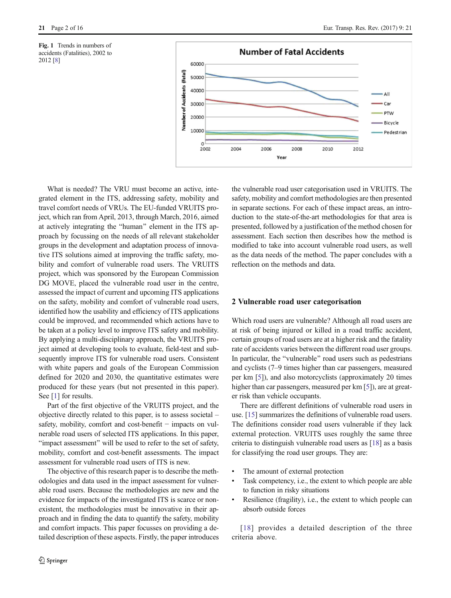<span id="page-1-0"></span>Fig. 1 Trends in numbers of accidents (Fatalities), 2002 to 2012 [[8\]](#page-14-0)



What is needed? The VRU must become an active, integrated element in the ITS, addressing safety, mobility and travel comfort needs of VRUs. The EU-funded VRUITS project, which ran from April, 2013, through March, 2016, aimed at actively integrating the "human" element in the ITS approach by focussing on the needs of all relevant stakeholder groups in the development and adaptation process of innovative ITS solutions aimed at improving the traffic safety, mobility and comfort of vulnerable road users. The VRUITS project, which was sponsored by the European Commission DG MOVE, placed the vulnerable road user in the centre, assessed the impact of current and upcoming ITS applications on the safety, mobility and comfort of vulnerable road users, identified how the usability and efficiency of ITS applications could be improved, and recommended which actions have to be taken at a policy level to improve ITS safety and mobility. By applying a multi-disciplinary approach, the VRUITS project aimed at developing tools to evaluate, field-test and subsequently improve ITS for vulnerable road users. Consistent with white papers and goals of the European Commission defined for 2020 and 2030, the quantitative estimates were produced for these years (but not presented in this paper). See [[1\]](#page-14-0) for results.

Part of the first objective of the VRUITS project, and the objective directly related to this paper, is to assess societal – safety, mobility, comfort and cost-benefit − impacts on vulnerable road users of selected ITS applications. In this paper, "impact assessment" will be used to refer to the set of safety, mobility, comfort and cost-benefit assessments. The impact assessment for vulnerable road users of ITS is new.

The objective of this research paper is to describe the methodologies and data used in the impact assessment for vulnerable road users. Because the methodologies are new and the evidence for impacts of the investigated ITS is scarce or nonexistent, the methodologies must be innovative in their approach and in finding the data to quantify the safety, mobility and comfort impacts. This paper focusses on providing a detailed description of these aspects. Firstly, the paper introduces the vulnerable road user categorisation used in VRUITS. The safety, mobility and comfort methodologies are then presented in separate sections. For each of these impact areas, an introduction to the state-of-the-art methodologies for that area is presented, followed by a justification of the method chosen for assessment. Each section then describes how the method is modified to take into account vulnerable road users, as well as the data needs of the method. The paper concludes with a reflection on the methods and data.

# 2 Vulnerable road user categorisation

Which road users are vulnerable? Although all road users are at risk of being injured or killed in a road traffic accident, certain groups of road users are at a higher risk and the fatality rate of accidents varies between the different road user groups. In particular, the "vulnerable" road users such as pedestrians and cyclists (7–9 times higher than car passengers, measured per km [\[5](#page-14-0)]), and also motorcyclists (approximately 20 times higher than car passengers, measured per km [\[5](#page-14-0)]), are at greater risk than vehicle occupants.

There are different definitions of vulnerable road users in use. [\[15\]](#page-14-0) summarizes the definitions of vulnerable road users. The definitions consider road users vulnerable if they lack external protection. VRUITS uses roughly the same three criteria to distinguish vulnerable road users as [\[18](#page-14-0)] as a basis for classifying the road user groups. They are:

- The amount of external protection
- & Task competency, i.e., the extent to which people are able to function in risky situations
- & Resilience (fragility), i.e., the extent to which people can absorb outside forces

[[18\]](#page-14-0) provides a detailed description of the three criteria above.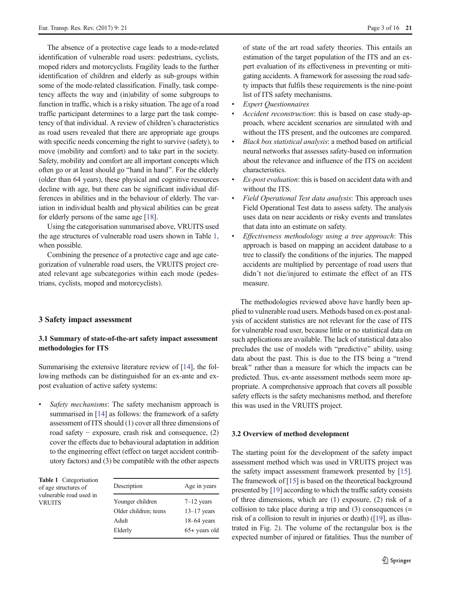The absence of a protective cage leads to a mode-related identification of vulnerable road users: pedestrians, cyclists, moped riders and motorcyclists. Fragility leads to the further identification of children and elderly as sub-groups within some of the mode-related classification. Finally, task competency affects the way and (in)ability of some subgroups to function in traffic, which is a risky situation. The age of a road traffic participant determines to a large part the task competency of that individual. A review of children's characteristics as road users revealed that there are appropriate age groups with specific needs concerning the right to survive (safety), to move (mobility and comfort) and to take part in the society. Safety, mobility and comfort are all important concepts which often go or at least should go "hand in hand". For the elderly (older than 64 years), these physical and cognitive resources decline with age, but there can be significant individual differences in abilities and in the behaviour of elderly. The variation in individual health and physical abilities can be great for elderly persons of the same age [\[18](#page-14-0)].

Using the categorisation summarised above, VRUITS used the age structures of vulnerable road users shown in Table 1, when possible.

Combining the presence of a protective cage and age categorization of vulnerable road users, the VRUITS project created relevant age subcategories within each mode (pedestrians, cyclists, moped and motorcyclists).

## 3 Safety impact assessment

# 3.1 Summary of state-of-the-art safety impact assessment methodologies for ITS

Summarising the extensive literature review of [[14\]](#page-14-0), the following methods can be distinguished for an ex-ante and expost evaluation of active safety systems:

Safety mechanisms: The safety mechanism approach is summarised in [[14](#page-14-0)] as follows: the framework of a safety assessment of ITS should (1) cover all three dimensions of road safety − exposure, crash risk and consequence, (2) cover the effects due to behavioural adaptation in addition to the engineering effect (effect on target accident contributory factors) and (3) be compatible with the other aspects

| <b>Table 1</b> Categorisation<br>of age structures of<br>vulnerable road used in<br><b>VRUITS</b> | Description                               | Age in years                  |  |  |
|---------------------------------------------------------------------------------------------------|-------------------------------------------|-------------------------------|--|--|
|                                                                                                   | Younger children<br>Older children; teens | $7-12$ years<br>$13-17$ years |  |  |
|                                                                                                   | Adult                                     | $18-64$ years                 |  |  |
|                                                                                                   | Elderly                                   | $65+$ years old               |  |  |

of state of the art road safety theories. This entails an estimation of the target population of the ITS and an expert evaluation of its effectiveness in preventing or mitigating accidents. A framework for assessing the road safety impacts that fulfils these requirements is the nine-point list of ITS safety mechanisms.

- & Expert Questionnaires
- Accident reconstruction: this is based on case study-approach, where accident scenarios are simulated with and without the ITS present, and the outcomes are compared.
- Black box statistical analysis: a method based on artificial neural networks that assesses safety-based on information about the relevance and influence of the ITS on accident characteristics.
- & Ex-post evaluation: this is based on accident data with and without the ITS.
- Field Operational Test data analysis: This approach uses Field Operational Test data to assess safety. The analysis uses data on near accidents or risky events and translates that data into an estimate on safety.
- Effectiveness methodology using a tree approach: This approach is based on mapping an accident database to a tree to classify the conditions of the injuries. The mapped accidents are multiplied by percentage of road users that didn't not die/injured to estimate the effect of an ITS measure.

The methodologies reviewed above have hardly been applied to vulnerable road users. Methods based on ex-post analysis of accident statistics are not relevant for the case of ITS for vulnerable road user, because little or no statistical data on such applications are available. The lack of statistical data also precludes the use of models with "predictive" ability, using data about the past. This is due to the ITS being a "trend" break" rather than a measure for which the impacts can be predicted. Thus, ex-ante assessment methods seem more appropriate. A comprehensive approach that covers all possible safety effects is the safety mechanisms method, and therefore this was used in the VRUITS project.

#### 3.2 Overview of method development

The starting point for the development of the safety impact assessment method which was used in VRUITS project was the safety impact assessment framework presented by [[15\]](#page-14-0). The framework of [\[15](#page-14-0)] is based on the theoretical background presented by [\[19\]](#page-14-0) according to which the traffic safety consists of three dimensions, which are (1) exposure, (2) risk of a collision to take place during a trip and (3) consequences (= risk of a collision to result in injuries or death) ([\[19\]](#page-14-0), as illustrated in Fig. [2](#page-3-0)). The volume of the rectangular box is the expected number of injured or fatalities. Thus the number of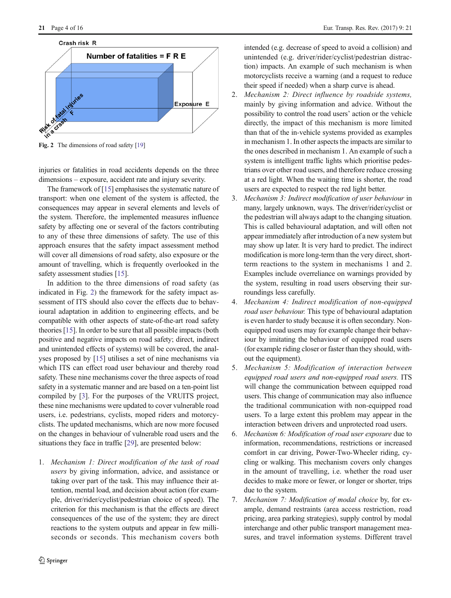<span id="page-3-0"></span>

Fig. 2 The dimensions of road safety [[19](#page-14-0)]

injuries or fatalities in road accidents depends on the three dimensions – exposure, accident rate and injury severity.

The framework of [\[15\]](#page-14-0) emphasises the systematic nature of transport: when one element of the system is affected, the consequences may appear in several elements and levels of the system. Therefore, the implemented measures influence safety by affecting one or several of the factors contributing to any of these three dimensions of safety. The use of this approach ensures that the safety impact assessment method will cover all dimensions of road safety, also exposure or the amount of travelling, which is frequently overlooked in the safety assessment studies [[15\]](#page-14-0).

In addition to the three dimensions of road safety (as indicated in Fig. 2) the framework for the safety impact assessment of ITS should also cover the effects due to behavioural adaptation in addition to engineering effects, and be compatible with other aspects of state-of-the-art road safety theories [[15](#page-14-0)]. In order to be sure that all possible impacts (both positive and negative impacts on road safety; direct, indirect and unintended effects of systems) will be covered, the analyses proposed by [\[15](#page-14-0)] utilises a set of nine mechanisms via which ITS can effect road user behaviour and thereby road safety. These nine mechanisms cover the three aspects of road safety in a systematic manner and are based on a ten-point list compiled by [[3\]](#page-14-0). For the purposes of the VRUITS project, these nine mechanisms were updated to cover vulnerable road users, i.e. pedestrians, cyclists, moped riders and motorcyclists. The updated mechanisms, which are now more focused on the changes in behaviour of vulnerable road users and the situations they face in traffic [[29](#page-14-0)], are presented below:

1. Mechanism 1: Direct modification of the task of road users by giving information, advice, and assistance or taking over part of the task. This may influence their attention, mental load, and decision about action (for example, driver/rider/cyclist/pedestrian choice of speed). The criterion for this mechanism is that the effects are direct consequences of the use of the system; they are direct reactions to the system outputs and appear in few milliseconds or seconds. This mechanism covers both intended (e.g. decrease of speed to avoid a collision) and unintended (e.g. driver/rider/cyclist/pedestrian distraction) impacts. An example of such mechanism is when motorcyclists receive a warning (and a request to reduce their speed if needed) when a sharp curve is ahead.

- 2. Mechanism 2: Direct influence by roadside systems, mainly by giving information and advice. Without the possibility to control the road users' action or the vehicle directly, the impact of this mechanism is more limited than that of the in-vehicle systems provided as examples in mechanism 1. In other aspects the impacts are similar to the ones described in mechanism 1. An example of such a system is intelligent traffic lights which prioritise pedestrians over other road users, and therefore reduce crossing at a red light. When the waiting time is shorter, the road users are expected to respect the red light better.
- 3. Mechanism 3: Indirect modification of user behaviour in many, largely unknown, ways. The driver/rider/cyclist or the pedestrian will always adapt to the changing situation. This is called behavioural adaptation, and will often not appear immediately after introduction of a new system but may show up later. It is very hard to predict. The indirect modification is more long-term than the very direct, shortterm reactions to the system in mechanisms 1 and 2. Examples include overreliance on warnings provided by the system, resulting in road users observing their surroundings less carefully.
- 4. Mechanism 4: Indirect modification of non-equipped road user behaviour. This type of behavioural adaptation is even harder to study because it is often secondary. Nonequipped road users may for example change their behaviour by imitating the behaviour of equipped road users (for example riding closer or faster than they should, without the equipment).
- 5. Mechanism 5: Modification of interaction between equipped road users and non-equipped road users. ITS will change the communication between equipped road users. This change of communication may also influence the traditional communication with non-equipped road users. To a large extent this problem may appear in the interaction between drivers and unprotected road users.
- 6. Mechanism 6: Modification of road user exposure due to information, recommendations, restrictions or increased comfort in car driving, Power-Two-Wheeler riding, cycling or walking. This mechanism covers only changes in the amount of travelling, i.e. whether the road user decides to make more or fewer, or longer or shorter, trips due to the system.
- 7. Mechanism 7: Modification of modal choice by, for example, demand restraints (area access restriction, road pricing, area parking strategies), supply control by modal interchange and other public transport management measures, and travel information systems. Different travel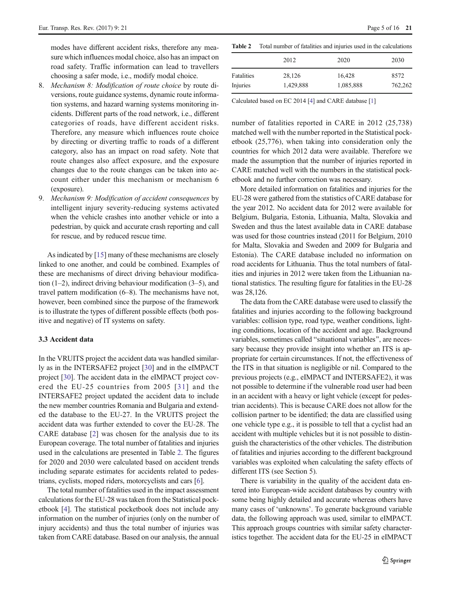modes have different accident risks, therefore any measure which influences modal choice, also has an impact on road safety. Traffic information can lead to travellers choosing a safer mode, i.e., modify modal choice.

- 8. Mechanism 8: Modification of route choice by route diversions, route guidance systems, dynamic route information systems, and hazard warning systems monitoring incidents. Different parts of the road network, i.e., different categories of roads, have different accident risks. Therefore, any measure which influences route choice by directing or diverting traffic to roads of a different category, also has an impact on road safety. Note that route changes also affect exposure, and the exposure changes due to the route changes can be taken into account either under this mechanism or mechanism 6 (exposure).
- 9. Mechanism 9: Modification of accident consequences by intelligent injury severity-reducing systems activated when the vehicle crashes into another vehicle or into a pedestrian, by quick and accurate crash reporting and call for rescue, and by reduced rescue time.

As indicated by [[15](#page-14-0)] many of these mechanisms are closely linked to one another, and could be combined. Examples of these are mechanisms of direct driving behaviour modification (1–2), indirect driving behaviour modification (3–5), and travel pattern modification (6–8). The mechanisms have not, however, been combined since the purpose of the framework is to illustrate the types of different possible effects (both positive and negative) of IT systems on safety.

## 3.3 Accident data

In the VRUITS project the accident data was handled similarly as in the INTERSAFE2 project [[30](#page-14-0)] and in the eIMPACT project [[30](#page-14-0)]. The accident data in the eIMPACT project covered the EU-25 countries from 2005 [[31\]](#page-15-0) and the INTERSAFE2 project updated the accident data to include the new member countries Romania and Bulgaria and extended the database to the EU-27. In the VRUITS project the accident data was further extended to cover the EU-28. The CARE database [[2\]](#page-14-0) was chosen for the analysis due to its European coverage. The total number of fatalities and injuries used in the calculations are presented in Table 2. The figures for 2020 and 2030 were calculated based on accident trends including separate estimates for accidents related to pedestrians, cyclists, moped riders, motorcyclists and cars [[6\]](#page-14-0).

The total number of fatalities used in the impact assessment calculations for the EU-28 was taken from the Statistical pocketbook [\[4](#page-14-0)]. The statistical pocketbook does not include any information on the number of injuries (only on the number of injury accidents) and thus the total number of injuries was taken from CARE database. Based on our analysis, the annual

Table 2 Total number of fatalities and injuries used in the calculations

|            | 2012      | 2020      | 2030    |
|------------|-----------|-----------|---------|
| Fatalities | 28,126    | 16.428    | 8572    |
| Injuries   | 1,429,888 | 1,085,888 | 762,262 |

Calculated based on EC 2014 [\[4](#page-14-0)] and CARE database [[1\]](#page-14-0)

number of fatalities reported in CARE in 2012 (25,738) matched well with the number reported in the Statistical pocketbook (25,776), when taking into consideration only the countries for which 2012 data were available. Therefore we made the assumption that the number of injuries reported in CARE matched well with the numbers in the statistical pocketbook and no further correction was necessary.

More detailed information on fatalities and injuries for the EU-28 were gathered from the statistics of CARE database for the year 2012. No accident data for 2012 were available for Belgium, Bulgaria, Estonia, Lithuania, Malta, Slovakia and Sweden and thus the latest available data in CARE database was used for those countries instead (2011 for Belgium, 2010 for Malta, Slovakia and Sweden and 2009 for Bulgaria and Estonia). The CARE database included no information on road accidents for Lithuania. Thus the total numbers of fatalities and injuries in 2012 were taken from the Lithuanian national statistics. The resulting figure for fatalities in the EU-28 was 28,126.

The data from the CARE database were used to classify the fatalities and injuries according to the following background variables: collision type, road type, weather conditions, lighting conditions, location of the accident and age. Background variables, sometimes called "situational variables", are necessary because they provide insight into whether an ITS is appropriate for certain circumstances. If not, the effectiveness of the ITS in that situation is negligible or nil. Compared to the previous projects (e.g., eIMPACT and INTERSAFE2), it was not possible to determine if the vulnerable road user had been in an accident with a heavy or light vehicle (except for pedestrian accidents). This is because CARE does not allow for the collision partner to be identified; the data are classified using one vehicle type e.g., it is possible to tell that a cyclist had an accident with multiple vehicles but it is not possible to distinguish the characteristics of the other vehicles. The distribution of fatalities and injuries according to the different background variables was exploited when calculating the safety effects of different ITS (see Section 5).

There is variability in the quality of the accident data entered into European-wide accident databases by country with some being highly detailed and accurate whereas others have many cases of 'unknowns'. To generate background variable data, the following approach was used, similar to eIMPACT. This approach groups countries with similar safety characteristics together. The accident data for the EU-25 in eIMPACT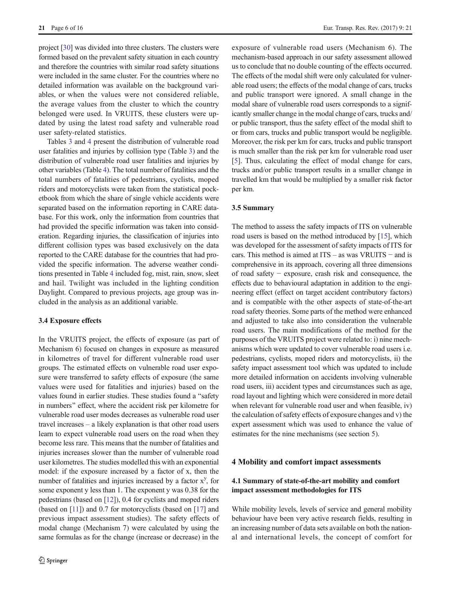project [\[30](#page-14-0)] was divided into three clusters. The clusters were formed based on the prevalent safety situation in each country and therefore the countries with similar road safety situations were included in the same cluster. For the countries where no detailed information was available on the background variables, or when the values were not considered reliable, the average values from the cluster to which the country belonged were used. In VRUITS, these clusters were updated by using the latest road safety and vulnerable road user safety-related statistics.

Tables [3](#page-6-0) and [4](#page-6-0) present the distribution of vulnerable road user fatalities and injuries by collision type (Table [3](#page-6-0)) and the distribution of vulnerable road user fatalities and injuries by other variables (Table [4\)](#page-6-0). The total number of fatalities and the total numbers of fatalities of pedestrians, cyclists, moped riders and motorcyclists were taken from the statistical pocketbook from which the share of single vehicle accidents were separated based on the information reporting in CARE database. For this work, only the information from countries that had provided the specific information was taken into consideration. Regarding injuries, the classification of injuries into different collision types was based exclusively on the data reported to the CARE database for the countries that had provided the specific information. The adverse weather conditions presented in Table [4](#page-6-0) included fog, mist, rain, snow, sleet and hail. Twilight was included in the lighting condition Daylight. Compared to previous projects, age group was included in the analysis as an additional variable.

## 3.4 Exposure effects

In the VRUITS project, the effects of exposure (as part of Mechanism 6) focused on changes in exposure as measured in kilometres of travel for different vulnerable road user groups. The estimated effects on vulnerable road user exposure were transferred to safety effects of exposure (the same values were used for fatalities and injuries) based on the values found in earlier studies. These studies found a "safety in numbers" effect, where the accident risk per kilometre for vulnerable road user modes decreases as vulnerable road user travel increases – a likely explanation is that other road users learn to expect vulnerable road users on the road when they become less rare. This means that the number of fatalities and injuries increases slower than the number of vulnerable road user kilometres. The studies modelled this with an exponential model: if the exposure increased by a factor of x, then the number of fatalities and injuries increased by a factor x<sup>y</sup>, for some exponent y less than 1. The exponent y was 0.38 for the pedestrians (based on [\[12](#page-14-0)]), 0.4 for cyclists and moped riders (based on [\[11\]](#page-14-0)) and 0.7 for motorcyclists (based on [\[17\]](#page-14-0) and previous impact assessment studies). The safety effects of modal change (Mechanism 7) were calculated by using the same formulas as for the change (increase or decrease) in the

exposure of vulnerable road users (Mechanism 6). The mechanism-based approach in our safety assessment allowed us to conclude that no double counting of the effects occurred. The effects of the modal shift were only calculated for vulnerable road users; the effects of the modal change of cars, trucks and public transport were ignored. A small change in the modal share of vulnerable road users corresponds to a significantly smaller change in the modal change of cars, trucks and/ or public transport, thus the safety effect of the modal shift to or from cars, trucks and public transport would be negligible. Moreover, the risk per km for cars, trucks and public transport is much smaller than the risk per km for vulnerable road user [\[5](#page-14-0)]. Thus, calculating the effect of modal change for cars, trucks and/or public transport results in a smaller change in travelled km that would be multiplied by a smaller risk factor per km.

## 3.5 Summary

The method to assess the safety impacts of ITS on vulnerable road users is based on the method introduced by [\[15](#page-14-0)], which was developed for the assessment of safety impacts of ITS for cars. This method is aimed at ITS – as was VRUITS − and is comprehensive in its approach, covering all three dimensions of road safety − exposure, crash risk and consequence, the effects due to behavioural adaptation in addition to the engineering effect (effect on target accident contributory factors) and is compatible with the other aspects of state-of-the-art road safety theories. Some parts of the method were enhanced and adjusted to take also into consideration the vulnerable road users. The main modifications of the method for the purposes of the VRUITS project were related to: i) nine mechanisms which were updated to cover vulnerable road users i.e. pedestrians, cyclists, moped riders and motorcyclists, ii) the safety impact assessment tool which was updated to include more detailed information on accidents involving vulnerable road users, iii) accident types and circumstances such as age, road layout and lighting which were considered in more detail when relevant for vulnerable road user and when feasible, iv) the calculation of safety effects of exposure changes and v) the expert assessment which was used to enhance the value of estimates for the nine mechanisms (see section 5).

## 4 Mobility and comfort impact assessments

# 4.1 Summary of state-of-the-art mobility and comfort impact assessment methodologies for ITS

While mobility levels, levels of service and general mobility behaviour have been very active research fields, resulting in an increasing number of data sets available on both the national and international levels, the concept of comfort for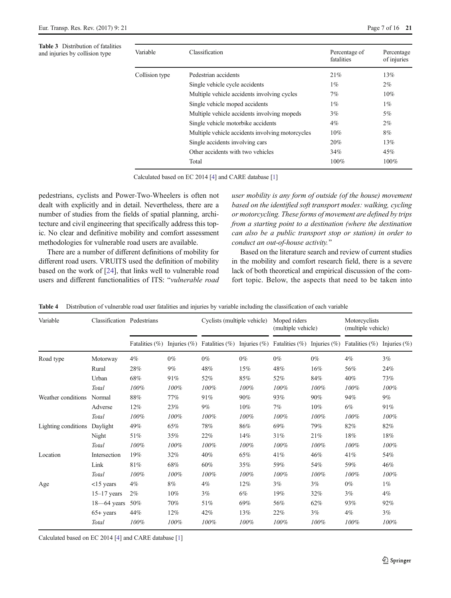<span id="page-6-0"></span>

| <b>Table 3</b> Distribution of fatalities<br>and injuries by collision type | Variable       | Classification                                   | Percentage of<br>fatalities | Percentage<br>of injuries |
|-----------------------------------------------------------------------------|----------------|--------------------------------------------------|-----------------------------|---------------------------|
|                                                                             | Collision type | Pedestrian accidents                             | 21%                         | 13%                       |
|                                                                             |                | Single vehicle cycle accidents                   | $1\%$                       | $2\%$                     |
|                                                                             |                | Multiple vehicle accidents involving cycles      | 7%                          | $10\%$                    |
|                                                                             |                | Single vehicle moped accidents                   | $1\%$                       | $1\%$                     |
|                                                                             |                | Multiple vehicle accidents involving mopeds      | $3\%$                       | 5%                        |
|                                                                             |                | Single vehicle motorbike accidents               | $4\%$                       | $2\%$                     |
|                                                                             |                | Multiple vehicle accidents involving motorcycles | $10\%$                      | 8%                        |
|                                                                             |                | Single accidents involving cars                  | 20%                         | 13%                       |
|                                                                             |                | Other accidents with two vehicles                | 34%                         | 45%                       |
|                                                                             |                | Total                                            | $100\%$                     | 100%                      |
|                                                                             |                |                                                  |                             |                           |

Calculated based on EC 2014 [\[4\]](#page-14-0) and CARE database [\[1](#page-14-0)]

pedestrians, cyclists and Power-Two-Wheelers is often not dealt with explicitly and in detail. Nevertheless, there are a number of studies from the fields of spatial planning, architecture and civil engineering that specifically address this topic. No clear and definitive mobility and comfort assessment methodologies for vulnerable road users are available.

There are a number of different definitions of mobility for different road users. VRUITS used the definition of mobility based on the work of [[24\]](#page-14-0), that links well to vulnerable road users and different functionalities of ITS: "vulnerable road user mobility is any form of outside (of the house) movement based on the identified soft transport modes: walking, cycling or motorcycling. These forms of movement are defined by trips from a starting point to a destination (where the destination can also be a public transport stop or station) in order to conduct an out-of-house activity."

Based on the literature search and review of current studies in the mobility and comfort research field, there is a severe lack of both theoretical and empirical discussion of the comfort topic. Below, the aspects that need to be taken into

| Variable            | Classification Pedestrians |                |                  | Cyclists (multiple vehicle) |                  | Moped riders<br>(multiple vehicle) |                  | Motorcyclists<br>(multiple vehicle) |                  |
|---------------------|----------------------------|----------------|------------------|-----------------------------|------------------|------------------------------------|------------------|-------------------------------------|------------------|
|                     |                            | Fatalities (%) | Injuries $(\% )$ | Fatalities $(\% )$          | Injuries $(\% )$ | Fatalities $(\% )$                 | Injuries $(\% )$ | Fatalities $(\% )$                  | Injuries $(\% )$ |
| Road type           | Motorway                   | $4\%$          | $0\%$            | $0\%$                       | $0\%$            | $0\%$                              | $0\%$            | 4%                                  | 3%               |
|                     | Rural                      | 28%            | 9%               | 48%                         | 15%              | 48%                                | 16%              | 56%                                 | 24%              |
|                     | Urban                      | 68%            | 91%              | 52%                         | 85%              | 52%                                | 84%              | 40%                                 | 73%              |
|                     | Total                      | $100\%$        | 100%             | 100%                        | 100%             | 100%                               | 100%             | 100%                                | 100%             |
| Weather conditions  | Normal                     | 88%            | 77%              | 91%                         | 90%              | 93%                                | $90\%$           | 94%                                 | 9%               |
|                     | Adverse                    | 12%            | 23%              | 9%                          | 10%              | 7%                                 | 10%              | 6%                                  | 91%              |
|                     | Total                      | 100%           | 100%             | 100%                        | 100%             | 100%                               | 100%             | 100%                                | 100%             |
| Lighting conditions | Daylight                   | 49%            | 65%              | 78%                         | 86%              | 69%                                | 79%              | 82%                                 | 82%              |
|                     | Night                      | 51%            | 35%              | 22%                         | 14%              | 31%                                | 21%              | 18%                                 | 18%              |
|                     | Total                      | 100%           | 100%             | 100%                        | 100%             | 100%                               | 100%             | 100%                                | 100%             |
| Location            | Intersection               | 19%            | 32%              | 40%                         | 65%              | 41%                                | 46%              | 41%                                 | 54%              |
|                     | Link                       | 81%            | 68%              | 60%                         | 35%              | 59%                                | 54%              | 59%                                 | 46%              |
|                     | Total                      | 100%           | 100%             | 100%                        | 100%             | 100%                               | 100%             | 100%                                | 100%             |
| Age                 | $<$ 15 years               | $4\%$          | 8%               | $4\%$                       | $12\%$           | 3%                                 | $3\%$            | $0\%$                               | $1\%$            |
|                     | $15-17$ years              | 2%             | 10%              | 3%                          | 6%               | 19%                                | 32%              | 3%                                  | $4\%$            |
|                     | $18 - 64$ years            | 50%            | 70%              | 51%                         | 69%              | 56%                                | 62%              | 93%                                 | 92%              |
|                     | $65+$ years                | 44%            | $12\%$           | 42%                         | 13%              | 22%                                | $3\%$            | $4\%$                               | $3\%$            |
|                     | Total                      | 100%           | 100%             | 100%                        | 100%             | 100%                               | 100%             | 100%                                | 100%             |

Table 4 Distribution of vulnerable road user fatalities and injuries by variable including the classification of each variable

Calculated based on EC 2014 [\[4](#page-14-0)] and CARE database [[1\]](#page-14-0)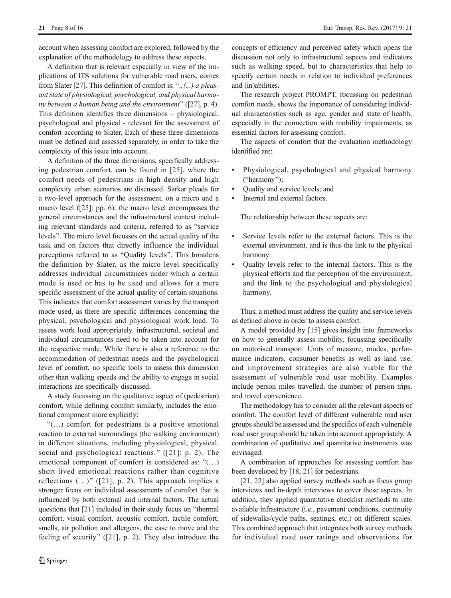account when assessing comfort are explored, followed by the explanation of the methodology to address these aspects.

A definition that is relevant especially in view of the implications of ITS solutions for vulnerable road users, comes from Slater [\[27\]](#page-14-0). This definition of comfort is: " $(n, l)$  a pleasant state of physiological, psychological, and physical harmony between a human being and the environment" ( $[27]$ , p. 4). This definition identifies three dimensions – physiological, psychological and physical - relevant for the assessment of comfort according to Slater. Each of these three dimensions must be defined and assessed separately, in order to take the complexity of this issue into account.

A definition of the three dimensions, specifically addressing pedestrian comfort, can be found in [[25\]](#page-14-0), where the comfort needs of pedestrians in high density and high complexity urban scenarios are discussed. Sarkar pleads for a two-level approach for the assessment, on a micro and a macro level ([[25](#page-14-0)]: pp. 6): the macro level encompasses the general circumstances and the infrastructural context including relevant standards and criteria, referred to as "service" levels^. The micro level focusses on the actual quality of the task and on factors that directly influence the individual perceptions referred to as "Quality levels". This broadens the definition by Slater, as the micro level specifically addresses individual circumstances under which a certain mode is used or has to be used and allows for a more specific assessment of the actual quality of certain situations. This indicates that comfort assessment varies by the transport mode used, as there are specific differences concerning the physical, psychological and physiological work load. To assess work load appropriately, infrastructural, societal and individual circumstances need to be taken into account for the respective mode. While there is also a reference to the accommodation of pedestrian needs and the psychological level of comfort, no specific tools to assess this dimension other than walking speeds and the ability to engage in social interactions are specifically discussed.

A study focussing on the qualitative aspect of (pedestrian) comfort, while defining comfort similarly, includes the emotional component more explicitly:

 $\lq($ ...) comfort for pedestrians is a positive emotional reaction to external surroundings (the walking environment) in different situations, including physiological, physical, social and psychological reactions."  $([21]: p. 2)$  $([21]: p. 2)$  $([21]: p. 2)$ . The emotional component of comfort is considered as:  $\lq($ ...) short-lived emotional reactions rather than cognitive reflections  $(...)$ " ([[21\]](#page-14-0), p. 2). This approach implies a stronger focus on individual assessments of comfort that is influenced by both external and internal factors. The actual questions that  $[21]$  included in their study focus on "thermal" comfort, visual comfort, acoustic comfort, tactile comfort, smells, air pollution and allergens, the ease to move and the feeling of security" ( $[21]$  $[21]$  $[21]$ , p. 2). They also introduce the

concepts of efficiency and perceived safety which opens the discussion not only to infrastructural aspects and indicators such as walking speed, but to characteristics that help to specify certain needs in relation to individual preferences and (in)abilities.

The research project PROMPT, focussing on pedestrian comfort needs, shows the importance of considering individual characteristics such as age, gender and state of health, especially in the connection with mobility impairments, as essential factors for assessing comfort.

The aspects of comfort that the evaluation methodology identified are:

- & Physiological, psychological and physical harmony ("harmony");
- Quality and service levels; and
- Internal and external factors.

The relationship between these aspects are:

- & Service levels refer to the external factors. This is the external environment, and is thus the link to the physical harmony
- Quality levels refer to the internal factors. This is the physical efforts and the perception of the environment, and the link to the psychological and physiological harmony.

Thus, a method must address the quality and service levels as defined above in order to assess comfort.

A model provided by [[15\]](#page-14-0) gives insight into frameworks on how to generally assess mobility, focussing specifically on motorised transport. Units of measure, modes, performance indicators, consumer benefits as well as land use, and improvement strategies are also viable for the assessment of vulnerable road user mobility. Examples include person miles travelled, the number of person trips, and travel convenience.

The methodology has to consider all the relevant aspects of comfort. The comfort level of different vulnerable road user groups should be assessed and the specifics of each vulnerable road user group should be taken into account appropriately. A combination of qualitative and quantitative instruments was envisaged.

A combination of approaches for assessing comfort has been developed by [\[18](#page-14-0), [21\]](#page-14-0) for pedestrians.

[[21](#page-14-0), [22\]](#page-14-0) also applied survey methods such as focus group interviews and in-depth interviews to cover these aspects. In addition, they applied quantitative checklist methods to rate available infrastructure (i.e., pavement conditions, continuity of sidewalks/cycle paths, seatings, etc.) on different scales. This combined approach that integrates both survey methods for individual road user ratings and observations for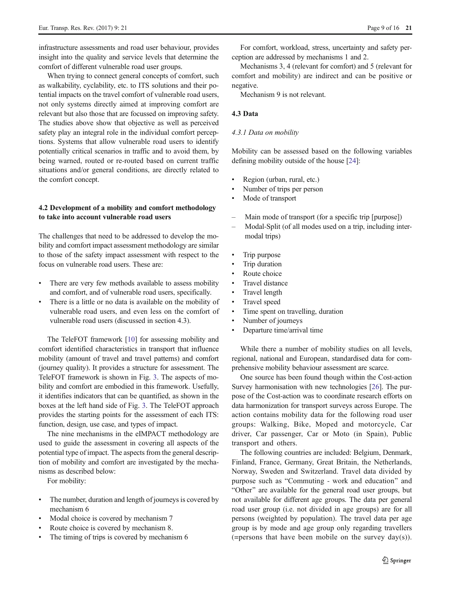infrastructure assessments and road user behaviour, provides insight into the quality and service levels that determine the comfort of different vulnerable road user groups.

When trying to connect general concepts of comfort, such as walkability, cyclability, etc. to ITS solutions and their potential impacts on the travel comfort of vulnerable road users, not only systems directly aimed at improving comfort are relevant but also those that are focussed on improving safety. The studies above show that objective as well as perceived safety play an integral role in the individual comfort perceptions. Systems that allow vulnerable road users to identify potentially critical scenarios in traffic and to avoid them, by being warned, routed or re-routed based on current traffic situations and/or general conditions, are directly related to the comfort concept.

# 4.2 Development of a mobility and comfort methodology to take into account vulnerable road users

The challenges that need to be addressed to develop the mobility and comfort impact assessment methodology are similar to those of the safety impact assessment with respect to the focus on vulnerable road users. These are:

- There are very few methods available to assess mobility and comfort, and of vulnerable road users, specifically.
- There is a little or no data is available on the mobility of vulnerable road users, and even less on the comfort of vulnerable road users (discussed in section 4.3).

The TeleFOT framework [\[10](#page-14-0)] for assessing mobility and comfort identified characteristics in transport that influence mobility (amount of travel and travel patterns) and comfort (journey quality). It provides a structure for assessment. The TeleFOT framework is shown in Fig. [3](#page-9-0). The aspects of mobility and comfort are embodied in this framework. Usefully, it identifies indicators that can be quantified, as shown in the boxes at the left hand side of Fig. [3](#page-9-0). The TeleFOT approach provides the starting points for the assessment of each ITS: function, design, use case, and types of impact.

The nine mechanisms in the eIMPACT methodology are used to guide the assessment in covering all aspects of the potential type of impact. The aspects from the general description of mobility and comfort are investigated by the mechanisms as described below:

For mobility:

- The number, duration and length of journeys is covered by mechanism 6
- Modal choice is covered by mechanism 7
- & Route choice is covered by mechanism 8.
- The timing of trips is covered by mechanism 6

For comfort, workload, stress, uncertainty and safety perception are addressed by mechanisms 1 and 2.

Mechanisms 3, 4 (relevant for comfort) and 5 (relevant for comfort and mobility) are indirect and can be positive or negative.

Mechanism 9 is not relevant.

## 4.3 Data

#### 4.3.1 Data on mobility

Mobility can be assessed based on the following variables defining mobility outside of the house [[24](#page-14-0)]:

- & Region (urban, rural, etc.)
- Number of trips per person
- Mode of transport
- Main mode of transport (for a specific trip [purpose])
- Modal-Split (of all modes used on a trip, including intermodal trips)
- Trip purpose
- Trip duration
- Route choice
- Travel distance
- Travel length
- Travel speed
- Time spent on travelling, duration
- Number of journeys
- & Departure time/arrival time

While there a number of mobility studies on all levels, regional, national and European, standardised data for comprehensive mobility behaviour assessment are scarce.

One source has been found though within the Cost-action Survey harmonisation with new technologies [\[26\]](#page-14-0). The purpose of the Cost-action was to coordinate research efforts on data harmonization for transport surveys across Europe. The action contains mobility data for the following road user groups: Walking, Bike, Moped and motorcycle, Car driver, Car passenger, Car or Moto (in Spain), Public transport and others.

The following countries are included: Belgium, Denmark, Finland, France, Germany, Great Britain, the Netherlands, Norway, Sweden and Switzerland. Travel data divided by purpose such as "Commuting - work and education" and "Other" are available for the general road user groups, but not available for different age groups. The data per general road user group (i.e. not divided in age groups) are for all persons (weighted by population). The travel data per age group is by mode and age group only regarding travellers (=persons that have been mobile on the survey  $day(s)$ ).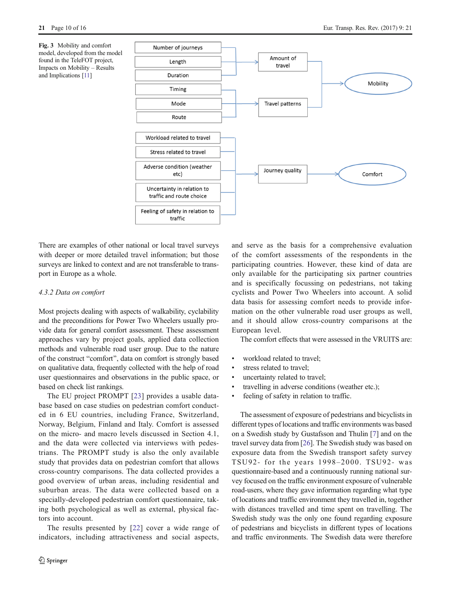<span id="page-9-0"></span>Fig. 3 Mobility and comfort model, developed from the model found in the TeleFOT project, Impacts on Mobility – Results and Implications [[11\]](#page-14-0)



There are examples of other national or local travel surveys with deeper or more detailed travel information; but those surveys are linked to context and are not transferable to transport in Europe as a whole.

## 4.3.2 Data on comfort

Most projects dealing with aspects of walkability, cyclability and the preconditions for Power Two Wheelers usually provide data for general comfort assessment. These assessment approaches vary by project goals, applied data collection methods and vulnerable road user group. Due to the nature of the construct "comfort", data on comfort is strongly based on qualitative data, frequently collected with the help of road user questionnaires and observations in the public space, or based on check list rankings.

The EU project PROMPT [[23\]](#page-14-0) provides a usable database based on case studies on pedestrian comfort conducted in 6 EU countries, including France, Switzerland, Norway, Belgium, Finland and Italy. Comfort is assessed on the micro- and macro levels discussed in Section 4.1, and the data were collected via interviews with pedestrians. The PROMPT study is also the only available study that provides data on pedestrian comfort that allows cross-country comparisons. The data collected provides a good overview of urban areas, including residential and suburban areas. The data were collected based on a specially-developed pedestrian comfort questionnaire, taking both psychological as well as external, physical factors into account.

The results presented by [\[22](#page-14-0)] cover a wide range of indicators, including attractiveness and social aspects,

and serve as the basis for a comprehensive evaluation of the comfort assessments of the respondents in the participating countries. However, these kind of data are only available for the participating six partner countries and is specifically focussing on pedestrians, not taking cyclists and Power Two Wheelers into account. A solid data basis for assessing comfort needs to provide information on the other vulnerable road user groups as well, and it should allow cross-country comparisons at the European level.

The comfort effects that were assessed in the VRUITS are:

- & workload related to travel;
- stress related to travel;
- uncertainty related to travel;
- travelling in adverse conditions (weather etc.);
- & feeling of safety in relation to traffic.

The assessment of exposure of pedestrians and bicyclists in different types of locations and traffic environments was based on a Swedish study by Gustafsson and Thulin [\[7](#page-14-0)] and on the travel survey data from [\[26\]](#page-14-0). The Swedish study was based on exposure data from the Swedish transport safety survey TSU92- for the years 1998–2000. TSU92- was questionnaire-based and a continuously running national survey focused on the traffic environment exposure of vulnerable road-users, where they gave information regarding what type of locations and traffic environment they travelled in, together with distances travelled and time spent on travelling. The Swedish study was the only one found regarding exposure of pedestrians and bicyclists in different types of locations and traffic environments. The Swedish data were therefore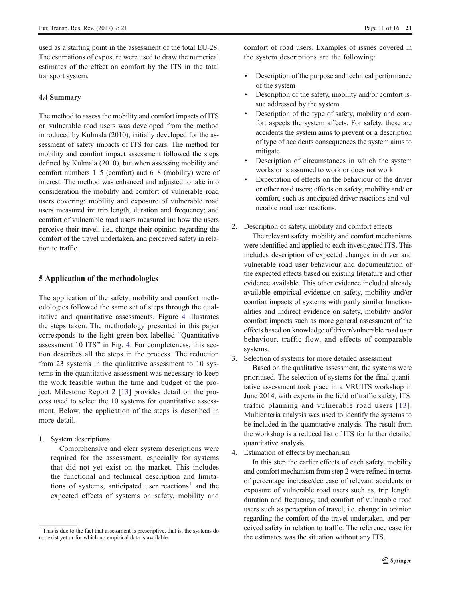used as a starting point in the assessment of the total EU-28. The estimations of exposure were used to draw the numerical estimates of the effect on comfort by the ITS in the total transport system.

## 4.4 Summary

The method to assess the mobility and comfort impacts of ITS on vulnerable road users was developed from the method introduced by Kulmala (2010), initially developed for the assessment of safety impacts of ITS for cars. The method for mobility and comfort impact assessment followed the steps defined by Kulmala (2010), but when assessing mobility and comfort numbers 1–5 (comfort) and 6–8 (mobility) were of interest. The method was enhanced and adjusted to take into consideration the mobility and comfort of vulnerable road users covering: mobility and exposure of vulnerable road users measured in: trip length, duration and frequency; and comfort of vulnerable road users measured in: how the users perceive their travel, i.e., change their opinion regarding the comfort of the travel undertaken, and perceived safety in relation to traffic.

# 5 Application of the methodologies

The application of the safety, mobility and comfort methodologies followed the same set of steps through the qualitative and quantitative assessments. Figure [4](#page-11-0) illustrates the steps taken. The methodology presented in this paper corresponds to the light green box labelled "Quantitative assessment 10 ITS" in Fig. [4.](#page-11-0) For completeness, this section describes all the steps in the process. The reduction from 23 systems in the qualitative assessment to 10 systems in the quantitative assessment was necessary to keep the work feasible within the time and budget of the project. Milestone Report 2 [[13](#page-14-0)] provides detail on the process used to select the 10 systems for quantitative assessment. Below, the application of the steps is described in more detail.

1. System descriptions

Comprehensive and clear system descriptions were required for the assessment, especially for systems that did not yet exist on the market. This includes the functional and technical description and limitations of systems, anticipated user reactions<sup>1</sup> and the expected effects of systems on safety, mobility and comfort of road users. Examples of issues covered in the system descriptions are the following:

- Description of the purpose and technical performance of the system
- Description of the safety, mobility and/or comfort issue addressed by the system
- Description of the type of safety, mobility and comfort aspects the system affects. For safety, these are accidents the system aims to prevent or a description of type of accidents consequences the system aims to mitigate
- Description of circumstances in which the system works or is assumed to work or does not work
- Expectation of effects on the behaviour of the driver or other road users; effects on safety, mobility and/ or comfort, such as anticipated driver reactions and vulnerable road user reactions.
- 2. Description of safety, mobility and comfort effects

The relevant safety, mobility and comfort mechanisms were identified and applied to each investigated ITS. This includes description of expected changes in driver and vulnerable road user behaviour and documentation of the expected effects based on existing literature and other evidence available. This other evidence included already available empirical evidence on safety, mobility and/or comfort impacts of systems with partly similar functionalities and indirect evidence on safety, mobility and/or comfort impacts such as more general assessment of the effects based on knowledge of driver/vulnerable road user behaviour, traffic flow, and effects of comparable systems.

3. Selection of systems for more detailed assessment Based on the qualitative assessment, the systems were prioritised. The selection of systems for the final quantitative assessment took place in a VRUITS workshop in June 2014, with experts in the field of traffic safety, ITS, traffic planning and vulnerable road users [[13\]](#page-14-0). Multicriteria analysis was used to identify the systems to be included in the quantitative analysis. The result from the workshop is a reduced list of ITS for further detailed quantitative analysis.

4. Estimation of effects by mechanism

In this step the earlier effects of each safety, mobility and comfort mechanism from step 2 were refined in terms of percentage increase/decrease of relevant accidents or exposure of vulnerable road users such as, trip length, duration and frequency, and comfort of vulnerable road users such as perception of travel; i.e. change in opinion regarding the comfort of the travel undertaken, and perceived safety in relation to traffic. The reference case for the estimates was the situation without any ITS.

 $1$  This is due to the fact that assessment is prescriptive, that is, the systems do not exist yet or for which no empirical data is available.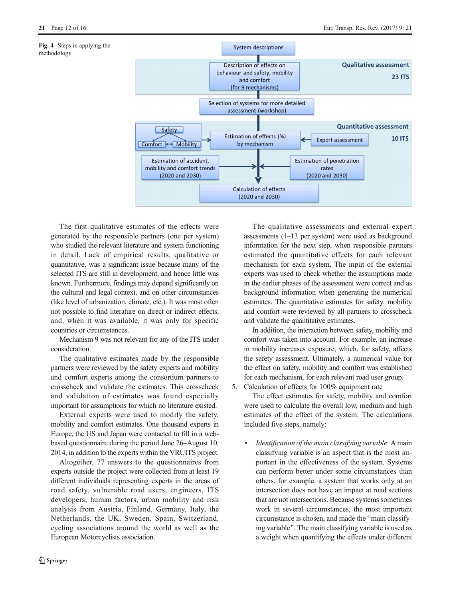methodology

<span id="page-11-0"></span>Fig. 4 Steps in applying the



The first qualitative estimates of the effects were generated by the responsible partners (one per system) who studied the relevant literature and system functioning in detail. Lack of empirical results, qualitative or quantitative, was a significant issue because many of the selected ITS are still in development, and hence little was known. Furthermore, findings may depend significantly on the cultural and legal context, and on other circumstances (like level of urbanization, climate, etc.). It was most often not possible to find literature on direct or indirect effects, and, when it was available, it was only for specific countries or circumstances.

Mechanism 9 was not relevant for any of the ITS under consideration.

The qualitative estimates made by the responsible partners were reviewed by the safety experts and mobility and comfort experts among the consortium partners to crosscheck and validate the estimates. This crosscheck and validation of estimates was found especially important for assumptions for which no literature existed.

External experts were used to modify the safety, mobility and comfort estimates. One thousand experts in Europe, the US and Japan were contacted to fill in a webbased questionnaire during the period June 26–August 10, 2014, in addition to the experts within the VRUITS project.

Altogether, 77 answers to the questionnaires from experts outside the project were collected from at least 19 different individuals representing experts in the areas of road safety, vulnerable road users, engineers, ITS developers, human factors, urban mobility and risk analysis from Austria, Finland, Germany, Italy, the Netherlands, the UK, Sweden, Spain, Switzerland, cycling associations around the world as well as the European Motorcyclists association.

The qualitative assessments and external expert assessments (1–13 per system) were used as background information for the next step, when responsible partners estimated the quantitative effects for each relevant mechanism for each system. The input of the external experts was used to check whether the assumptions made in the earlier phases of the assessment were correct and as background information when generating the numerical estimates. The quantitative estimates for safety, mobility and comfort were reviewed by all partners to crosscheck and validate the quantitative estimates.

In addition, the interaction between safety, mobility and comfort was taken into account. For example, an increase in mobility increases exposure, which, for safety, affects the safety assessment. Ultimately, a numerical value for the effect on safety, mobility and comfort was established for each mechanism, for each relevant road user group.

5. Calculation of effects for 100% equipment rate

The effect estimates for safety, mobility and comfort were used to calculate the overall low, medium and high estimates of the effect of the system. The calculations included five steps, namely:

Identification of the main classifying variable: A main classifying variable is an aspect that is the most important in the effectiveness of the system. Systems can perform better under some circumstances than others, for example, a system that works only at an intersection does not have an impact at road sections that are not intersections. Because systems sometimes work in several circumstances, the most important circumstance is chosen, and made the "main classifying variable". The main classifying variable is used as a weight when quantifying the effects under different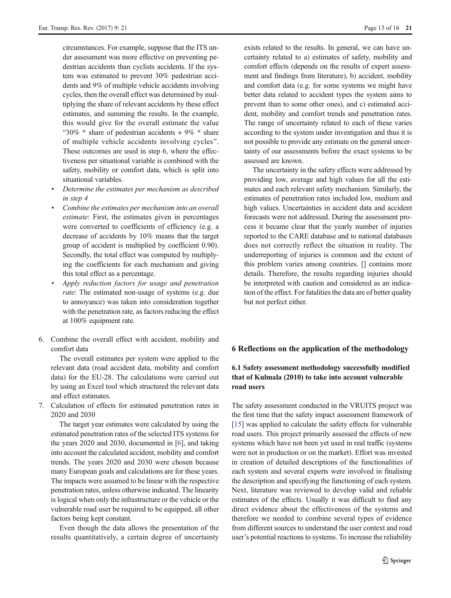circumstances. For example, suppose that the ITS under assessment was more effective on preventing pedestrian accidents than cyclists accidents. If the system was estimated to prevent 30% pedestrian accidents and 9% of multiple vehicle accidents involving cycles, then the overall effect was determined by multiplying the share of relevant accidents by these effect estimates, and summing the results. In the example, this would give for the overall estimate the value "30%  $*$  share of pedestrian accidents + 9%  $*$  share of multiple vehicle accidents involving cycles^. These outcomes are used in step 6, where the effectiveness per situational variable is combined with the safety, mobility or comfort data, which is split into situational variables.

- Determine the estimates per mechanism as described in step 4
- Combine the estimates per mechanism into an overall estimate: First, the estimates given in percentages were converted to coefficients of efficiency (e.g. a decrease of accidents by 10% means that the target group of accident is multiplied by coefficient 0.90). Secondly, the total effect was computed by multiplying the coefficients for each mechanism and giving this total effect as a percentage.
- Apply reduction factors for usage and penetration rate: The estimated non-usage of systems (e.g. due to annoyance) was taken into consideration together with the penetration rate, as factors reducing the effect at 100% equipment rate.
- 6. Combine the overall effect with accident, mobility and comfort data

The overall estimates per system were applied to the relevant data (road accident data, mobility and comfort data) for the EU-28. The calculations were carried out by using an Excel tool which structured the relevant data and effect estimates.

7. Calculation of effects for estimated penetration rates in 2020 and 2030

The target year estimates were calculated by using the estimated penetration rates of the selected ITS systems for the years 2020 and 2030, documented in [\[6](#page-14-0)], and taking into account the calculated accident, mobility and comfort trends. The years 2020 and 2030 were chosen because many European goals and calculations are for these years. The impacts were assumed to be linear with the respective penetration rates, unless otherwise indicated. The linearity is logical when only the infrastructure or the vehicle or the vulnerable road user be required to be equipped, all other factors being kept constant.

Even though the data allows the presentation of the results quantitatively, a certain degree of uncertainty exists related to the results. In general, we can have uncertainty related to a) estimates of safety, mobility and comfort effects (depends on the results of expert assessment and findings from literature), b) accident, mobility and comfort data (e.g. for some systems we might have better data related to accident types the system aims to prevent than to some other ones), and c) estimated accident, mobility and comfort trends and penetration rates. The range of uncertainty related to each of these varies according to the system under investigation and thus it is not possible to provide any estimate on the general uncertainty of our assessments before the exact systems to be assessed are known.

The uncertainty in the safety effects were addressed by providing low, average and high values for all the estimates and each relevant safety mechanism. Similarly, the estimates of penetration rates included low, medium and high values. Uncertainties in accident data and accident forecasts were not addressed. During the assessment process it became clear that the yearly number of injuries reported to the CARE database and to national databases does not correctly reflect the situation in reality. The underreporting of injuries is common and the extent of this problem varies among countries. [] contains more details. Therefore, the results regarding injuries should be interpreted with caution and considered as an indication of the effect. For fatalities the data are of better quality but not perfect either.

## 6 Reflections on the application of the methodology

# 6.1 Safety assessment methodology successfully modified that of Kulmala (2010) to take into account vulnerable road users

The safety assessment conducted in the VRUITS project was the first time that the safety impact assessment framework of [\[15](#page-14-0)] was applied to calculate the safety effects for vulnerable road users. This project primarily assessed the effects of new systems which have not been yet used in real traffic (systems were not in production or on the market). Effort was invested in creation of detailed descriptions of the functionalities of each system and several experts were involved in finalising the description and specifying the functioning of each system. Next, literature was reviewed to develop valid and reliable estimates of the effects. Usually it was difficult to find any direct evidence about the effectiveness of the systems and therefore we needed to combine several types of evidence from different sources to understand the user context and road user's potential reactions to systems. To increase the reliability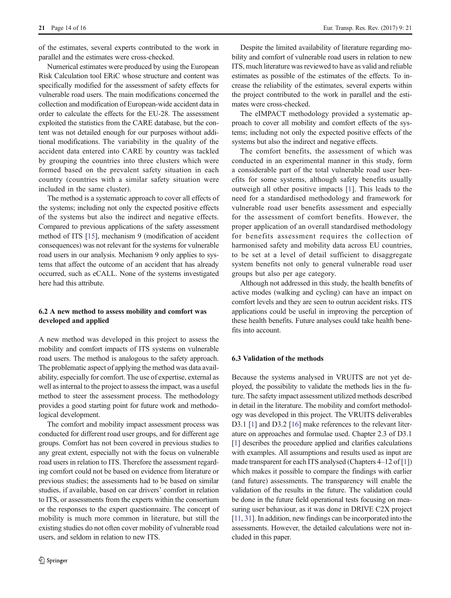of the estimates, several experts contributed to the work in parallel and the estimates were cross-checked.

Numerical estimates were produced by using the European Risk Calculation tool ERiC whose structure and content was specifically modified for the assessment of safety effects for vulnerable road users. The main modifications concerned the collection and modification of European-wide accident data in order to calculate the effects for the EU-28. The assessment exploited the statistics from the CARE database, but the content was not detailed enough for our purposes without additional modifications. The variability in the quality of the accident data entered into CARE by country was tackled by grouping the countries into three clusters which were formed based on the prevalent safety situation in each country (countries with a similar safety situation were included in the same cluster).

The method is a systematic approach to cover all effects of the systems; including not only the expected positive effects of the systems but also the indirect and negative effects. Compared to previous applications of the safety assessment method of ITS [[15\]](#page-14-0), mechanism 9 (modification of accident consequences) was not relevant for the systems for vulnerable road users in our analysis. Mechanism 9 only applies to systems that affect the outcome of an accident that has already occurred, such as eCALL. None of the systems investigated here had this attribute.

## 6.2 A new method to assess mobility and comfort was developed and applied

A new method was developed in this project to assess the mobility and comfort impacts of ITS systems on vulnerable road users. The method is analogous to the safety approach. The problematic aspect of applying the method was data availability, especially for comfort. The use of expertise, external as well as internal to the project to assess the impact, was a useful method to steer the assessment process. The methodology provides a good starting point for future work and methodological development.

The comfort and mobility impact assessment process was conducted for different road user groups, and for different age groups. Comfort has not been covered in previous studies to any great extent, especially not with the focus on vulnerable road users in relation to ITS. Therefore the assessment regarding comfort could not be based on evidence from literature or previous studies; the assessments had to be based on similar studies, if available, based on car drivers' comfort in relation to ITS, or assessments from the experts within the consortium or the responses to the expert questionnaire. The concept of mobility is much more common in literature, but still the existing studies do not often cover mobility of vulnerable road users, and seldom in relation to new ITS.

Despite the limited availability of literature regarding mobility and comfort of vulnerable road users in relation to new ITS, much literature was reviewed to have as valid and reliable estimates as possible of the estimates of the effects. To increase the reliability of the estimates, several experts within the project contributed to the work in parallel and the estimates were cross-checked.

The eIMPACT methodology provided a systematic approach to cover all mobility and comfort effects of the systems; including not only the expected positive effects of the systems but also the indirect and negative effects.

The comfort benefits, the assessment of which was conducted in an experimental manner in this study, form a considerable part of the total vulnerable road user benefits for some systems, although safety benefits usually outweigh all other positive impacts [[1\]](#page-14-0). This leads to the need for a standardised methodology and framework for vulnerable road user benefits assessment and especially for the assessment of comfort benefits. However, the proper application of an overall standardised methodology for benefits assessment requires the collection of harmonised safety and mobility data across EU countries, to be set at a level of detail sufficient to disaggregate system benefits not only to general vulnerable road user groups but also per age category.

Although not addressed in this study, the health benefits of active modes (walking and cycling) can have an impact on comfort levels and they are seen to outrun accident risks. ITS applications could be useful in improving the perception of these health benefits. Future analyses could take health benefits into account.

## 6.3 Validation of the methods

Because the systems analysed in VRUITS are not yet deployed, the possibility to validate the methods lies in the future. The safety impact assessment utilized methods described in detail in the literature. The mobility and comfort methodology was developed in this project. The VRUITS deliverables D3.1 [\[1](#page-14-0)] and D3.2 [[16\]](#page-14-0) make references to the relevant literature on approaches and formulae used. Chapter 2.3 of D3.1 [\[1](#page-14-0)] describes the procedure applied and clarifies calculations with examples. All assumptions and results used as input are made transparent for each ITS analysed (Chapters 4–12 of [\[1\]](#page-14-0)) which makes it possible to compare the findings with earlier (and future) assessments. The transparency will enable the validation of the results in the future. The validation could be done in the future field operational tests focusing on measuring user behaviour, as it was done in DRIVE C2X project [\[11,](#page-14-0) [31\]](#page-15-0). In addition, new findings can be incorporated into the assessments. However, the detailed calculations were not included in this paper.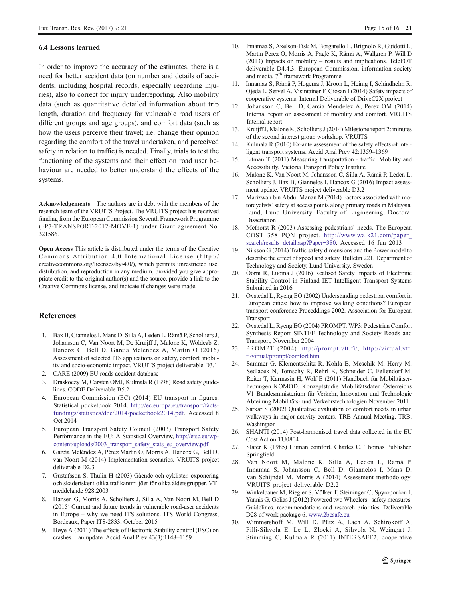### <span id="page-14-0"></span>6.4 Lessons learned

In order to improve the accuracy of the estimates, there is a need for better accident data (on number and details of accidents, including hospital records; especially regarding injuries), also to correct for injury underreporting. Also mobility data (such as quantitative detailed information about trip length, duration and frequency for vulnerable road users of different groups and age groups), and comfort data (such as how the users perceive their travel; i.e. change their opinion regarding the comfort of the travel undertaken, and perceived safety in relation to traffic) is needed. Finally, trials to test the functioning of the systems and their effect on road user behaviour are needed to better understand the effects of the systems.

Acknowledgements The authors are in debt with the members of the research team of the VRUITS Project. The VRUITS project has received funding from the European Commission Seventh Framework Programme (FP7-TRANSPORT-2012-MOVE-1) under Grant agreement No. 321586.

Open Access This article is distributed under the terms of the Creative Commons Attribution 4.0 International License (http:// creativecommons.org/licenses/by/4.0/), which permits unrestricted use, distribution, and reproduction in any medium, provided you give appropriate credit to the original author(s) and the source, provide a link to the Creative Commons license, and indicate if changes were made.

# References

- 1. Bax B, Giannelos I, Mans D, Silla A, Leden L, Rämä P, Scholliers J, Johansson C, Van Noort M, De Kruijff J, Malone K, Woldeab Z, Hancox G, Bell D, Garcia Melendez A, Martin O (2016) Assessment of selected ITS applications on safety, comfort, mobility and socio-economic impact. VRUITS project deliverable D3.1
- 2. CARE (2009) EU roads accident database
- 3. Draskóczy M, Carsten OMJ, Kulmala R (1998) Road safety guidelines. CODE Deliverable B5.2
- European Commission (EC) (2014) EU transport in figures. Statistical pocketbook 2014. [http://ec.europa.eu/transport/facts](http://ec.europa.eu/transport/facts-fundings/statistics/doc/2014/pocketbook2014.pdf)[fundings/statistics/doc/2014/pocketbook2014.pdf](http://ec.europa.eu/transport/facts-fundings/statistics/doc/2014/pocketbook2014.pdf). Accessed 8 Oct 2014
- 5. European Transport Safety Council (2003) Transport Safety Performance in the EU: A Statistical Overview, [http://etsc.eu/wp](http://etsc.eu/wp-content/uploads/2003_transport_safety_stats_eu_overview.pdf)[content/uploads/2003\\_transport\\_safety\\_stats\\_eu\\_overview.pdf](http://etsc.eu/wp-content/uploads/2003_transport_safety_stats_eu_overview.pdf)
- 6. García Meléndez A, Pérez Martín O, Morris A, Hancox G, Bell D, van Noort M (2014) Implementation scenarios. VRUITS project deliverable D2.3
- 7. Gustafsson S, Thulin H (2003) Gående och cyklister, exponering och skaderisker i olika trafikantmiljöer för olika åldersgrupper. VTI meddelande 928:2003
- 8. Hansen G, Morris A, Scholliers J, Silla A, Van Noort M, Bell D (2015) Current and future trends in vulnerable road-user accidents in Europe – why we need ITS solutions. ITS World Congress, Bordeaux, Paper ITS-2833, October 2015
- 9. Høye A (2011) The effects of Electronic Stability control (ESC) on crashes − an update. Accid Anal Prev 43(3):1148–1159
- 10. Innamaa S, Axelson-Fisk M, Borgarello L, Brignolo R, Guidotti L, Martin Perez O, Morris A, Paglé K, Rämä A, Wallgren P, Will D (2013) Impacts on mobility – results and implications. TeleFOT deliverable D4.4.3, European Commission, information society and media,  $7<sup>th</sup>$  framework Programme
- 11. Innamaa S, Rämä P, Hogema J, Kroon L, Heinig I, Schindhelm R, Ojeda L, Servel A, Visintainer F, Giosan I (2014) Safety impacts of cooperative systems. Internal Deliverable of DriveC2X project
- 12. Johansson C, Bell D, Garcia Mendelez A, Perez OM (2014) Internal report on assessment of mobility and comfort. VRUITS Internal report
- Kruijff J, Malone K, Scholliers J (2014) Milestone report 2: minutes of the second interest group workshop. VRUITS
- 14. Kulmala R (2010) Ex-ante assessment of the safety effects of intelligent transport systems. Accid Anal Prev 42:1359–1369
- 15. Litman T (2011) Measuring transportation traffic, Mobility and Accessibility. Victoria Transport Policy Institute
- 16. Malone K, Van Noort M, Johansson C, Silla A, Rämä P, Leden L, Scholliers J, Bax B, Giannelos I, Hancox G (2016) Impact assessment update. VRUITS project deliverable D3.2
- 17. Marizwan bin Abdul Manan M (2014) Factors associated with motorcyclists'safety at access points along primary roads in Malaysia. Lund, Lund University, Faculty of Engineering, Doctoral Dissertation
- 18. Methorst R (2003) Assessing pedestrians' needs. The European COST 358 PQN project. [http://www.walk21.com/paper\\_](http://www.walk21.com/paper_search/results_detail.asp?Paper=380) [search/results\\_detail.asp?Paper=380.](http://www.walk21.com/paper_search/results_detail.asp?Paper=380) Accessed 16 Jan 2013
- 19. Nilsson G (2014) Traffic safety dimensions and the Power model to describe the effect of speed and safety. Bulletin 221, Department of Technology and Society, Lund University, Sweden
- 20. Öörni R, Luoma J (2016) Realised Safety Impacts of Electronic Stability Control in Finland IET Intelligent Transport Systems Submitted in 2016
- 21. Ovstedal L, Ryeng EO (2002) Understanding pedestrian comfort in European cities: how to improve walking conditions? European transport conference Proceddings 2002. Association for European Transport
- 22. Ovstedal L, Ryeng EO (2004) PROMPT. WP3: Pedestrian Comfort Synthesis Report SINTEF Technology and Society Roads and Transport, November 2004
- 23. PROMPT (2004) [http://prompt.vtt.fi/,](http://prompt.vtt.fi/) [http://virtual.vtt.](http://prompt.vtt.fi/) [fi/virtual/prompt/comfort.htm](http://prompt.vtt.fi/)
- 24. Sammer G, Klementschitz R, Kohla B, Meschik M, Herry M, Sedlacek N, Tomschy R, Rehrl K, Schneider C, Fellendorf M, Reiter T, Karmasin H, Wolf E (2011) Handbuch für Mobilitätserhebungen KOMOD. Konzeptstudie Mobilitätsdaten Österreichs V1 Bundesministerium für Verkehr, Innovation und Technologie Abteilung Mobilitäts- und Verkehrstechnologien November 2011
- 25. Sarkar S (2002) Qualitative evaluation of comfort needs in urban walkways in major activity centers. TRB Annual Meeting, TRB, Washington
- 26. SHANTI (2014) Post-harmonised travel data collected in the EU Cost Action:TU0804
- 27. Slater K (1985) Human comfort. Charles C. Thomas Publisher, Springfield
- 28. Van Noort M, Malone K, Silla A, Leden L, Rämä P, Innamaa S, Johansson C, Bell D, Giannelos I, Mans D, van Schijndel M, Morris A (2014) Assessment methodology. VRUITS project deliverable D2.2
- 29. Winkelbauer M, Riegler S, Völker T, Steininger C, Spyropoulou I, Yannis G, Golias J (2012) Powered two Wheelers - safety measures. Guidelines, recommendations and research priorities. Deliverable D28 of work package 6. [www.2besafe.eu](http://www.2besafe.eu)
- 30. Wimmershoff M, Will D, Pütz A, Lach A, Schirokoff A, Pilli-Sihvola E, Le L, Zlocki A, Sihvola N, Weingart J, Stimming C, Kulmala R (2011) INTERSAFE2, cooperative